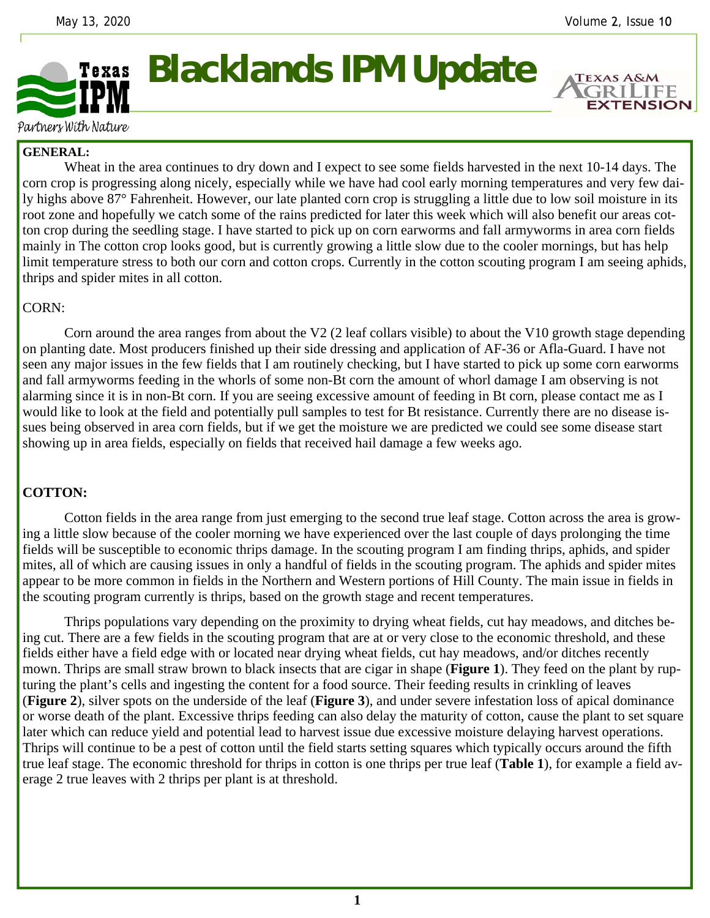**EXTENSION** 

## **Blacklands IPM Update**  Texas

Partners With Nature

## **GENERAL:**

 Wheat in the area continues to dry down and I expect to see some fields harvested in the next 10-14 days. The corn crop is progressing along nicely, especially while we have had cool early morning temperatures and very few daily highs above 87° Fahrenheit. However, our late planted corn crop is struggling a little due to low soil moisture in its root zone and hopefully we catch some of the rains predicted for later this week which will also benefit our areas cotton crop during the seedling stage. I have started to pick up on corn earworms and fall armyworms in area corn fields mainly in The cotton crop looks good, but is currently growing a little slow due to the cooler mornings, but has help limit temperature stress to both our corn and cotton crops. Currently in the cotton scouting program I am seeing aphids, thrips and spider mites in all cotton.

## CORN:

 Corn around the area ranges from about the V2 (2 leaf collars visible) to about the V10 growth stage depending on planting date. Most producers finished up their side dressing and application of AF-36 or Afla-Guard. I have not seen any major issues in the few fields that I am routinely checking, but I have started to pick up some corn earworms and fall armyworms feeding in the whorls of some non-Bt corn the amount of whorl damage I am observing is not alarming since it is in non-Bt corn. If you are seeing excessive amount of feeding in Bt corn, please contact me as I would like to look at the field and potentially pull samples to test for Bt resistance. Currently there are no disease issues being observed in area corn fields, but if we get the moisture we are predicted we could see some disease start showing up in area fields, especially on fields that received hail damage a few weeks ago.

## **COTTON:**

 Cotton fields in the area range from just emerging to the second true leaf stage. Cotton across the area is growing a little slow because of the cooler morning we have experienced over the last couple of days prolonging the time fields will be susceptible to economic thrips damage. In the scouting program I am finding thrips, aphids, and spider mites, all of which are causing issues in only a handful of fields in the scouting program. The aphids and spider mites appear to be more common in fields in the Northern and Western portions of Hill County. The main issue in fields in the scouting program currently is thrips, based on the growth stage and recent temperatures.

 Thrips populations vary depending on the proximity to drying wheat fields, cut hay meadows, and ditches being cut. There are a few fields in the scouting program that are at or very close to the economic threshold, and these fields either have a field edge with or located near drying wheat fields, cut hay meadows, and/or ditches recently mown. Thrips are small straw brown to black insects that are cigar in shape (**Figure 1**). They feed on the plant by rupturing the plant's cells and ingesting the content for a food source. Their feeding results in crinkling of leaves (**Figure 2**), silver spots on the underside of the leaf (**Figure 3**), and under severe infestation loss of apical dominance or worse death of the plant. Excessive thrips feeding can also delay the maturity of cotton, cause the plant to set square later which can reduce yield and potential lead to harvest issue due excessive moisture delaying harvest operations. Thrips will continue to be a pest of cotton until the field starts setting squares which typically occurs around the fifth true leaf stage. The economic threshold for thrips in cotton is one thrips per true leaf (**Table 1**), for example a field average 2 true leaves with 2 thrips per plant is at threshold.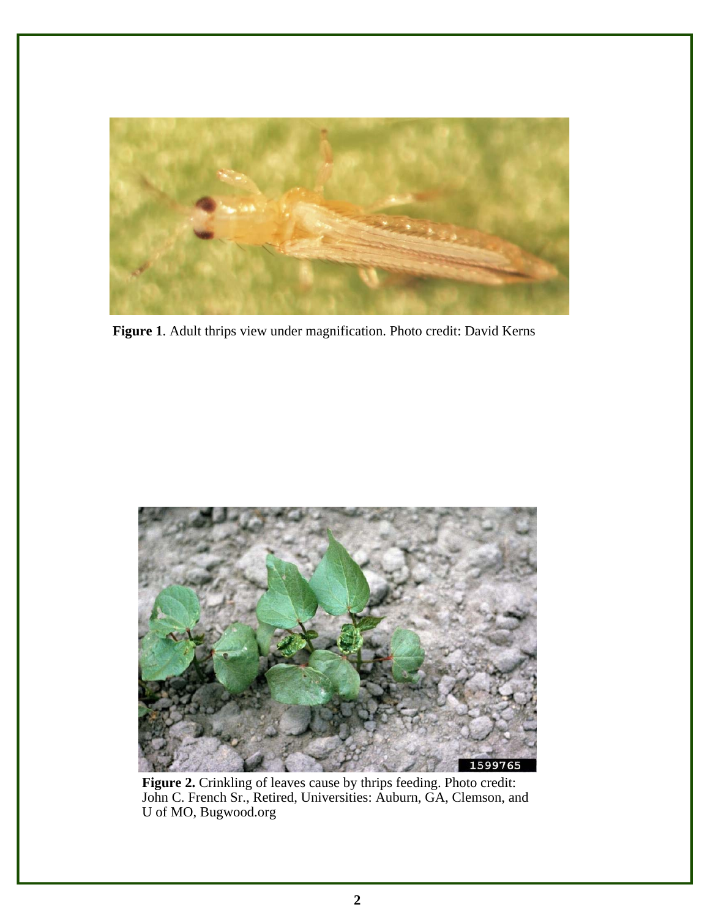

**Figure 1**. Adult thrips view under magnification. Photo credit: David Kerns



**Figure 2.** Crinkling of leaves cause by thrips feeding. Photo credit: John C. French Sr., Retired, Universities: Auburn, GA, Clemson, and U of MO, Bugwood.org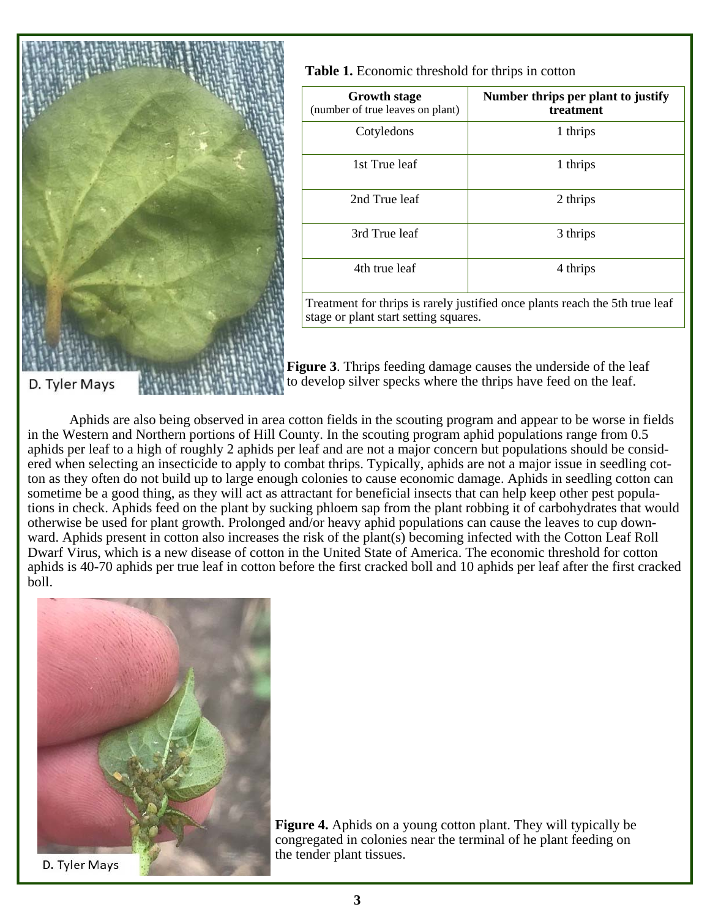

| <b>Table 1.</b> Economic threshold for thrips in cotton |  |  |
|---------------------------------------------------------|--|--|
|---------------------------------------------------------|--|--|

| <b>Growth stage</b><br>(number of true leaves on plant) | Number thrips per plant to justify<br><b>treatment</b> |
|---------------------------------------------------------|--------------------------------------------------------|
| Cotyledons                                              | 1 thrips                                               |
| 1st True leaf                                           | 1 thrips                                               |
| 2nd True leaf                                           | 2 thrips                                               |
| 3rd True leaf                                           | 3 thrips                                               |
| 4th true leaf                                           | 4 thrips                                               |

Treatment for thrips is rarely justified once plants reach the 5th true leaf stage or plant start setting squares.

**Figure 3**. Thrips feeding damage causes the underside of the leaf to develop silver specks where the thrips have feed on the leaf.

 Aphids are also being observed in area cotton fields in the scouting program and appear to be worse in fields in the Western and Northern portions of Hill County. In the scouting program aphid populations range from 0.5 aphids per leaf to a high of roughly 2 aphids per leaf and are not a major concern but populations should be considered when selecting an insecticide to apply to combat thrips. Typically, aphids are not a major issue in seedling cotton as they often do not build up to large enough colonies to cause economic damage. Aphids in seedling cotton can sometime be a good thing, as they will act as attractant for beneficial insects that can help keep other pest populations in check. Aphids feed on the plant by sucking phloem sap from the plant robbing it of carbohydrates that would otherwise be used for plant growth. Prolonged and/or heavy aphid populations can cause the leaves to cup downward. Aphids present in cotton also increases the risk of the plant(s) becoming infected with the Cotton Leaf Roll Dwarf Virus, which is a new disease of cotton in the United State of America. The economic threshold for cotton aphids is 40-70 aphids per true leaf in cotton before the first cracked boll and 10 aphids per leaf after the first cracked boll.



**Figure 4.** Aphids on a young cotton plant. They will typically be congregated in colonies near the terminal of he plant feeding on the tender plant tissues.